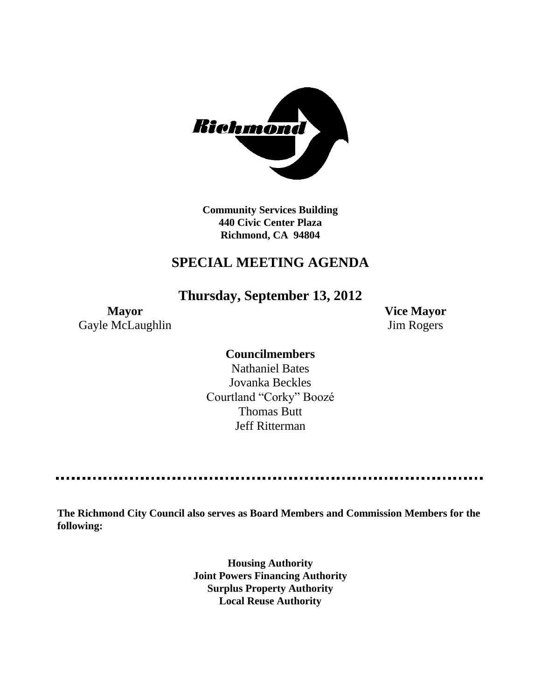

**Community Services Building 440 Civic Center Plaza Richmond, CA 94804**

# **SPECIAL MEETING AGENDA**

**Thursday, September 13, 2012**

**Mayor Vice Mayor** Gayle McLaughlin Jim Rogers

**Councilmembers**

Nathaniel Bates Jovanka Beckles Courtland "Corky" Boozé Thomas Butt Jeff Ritterman

**The Richmond City Council also serves as Board Members and Commission Members for the following:**

> **Housing Authority Joint Powers Financing Authority Surplus Property Authority Local Reuse Authority**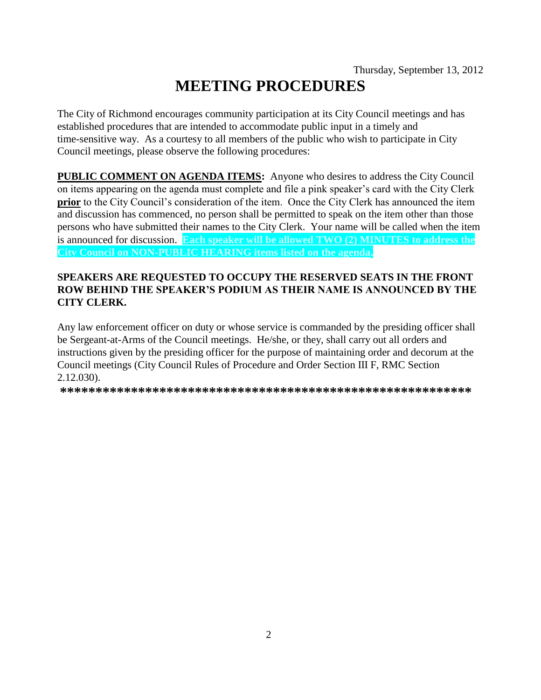The City of Richmond encourages community participation at its City Council meetings and has established procedures that are intended to accommodate public input in a timely and time-sensitive way. As a courtesy to all members of the public who wish to participate in City Council meetings, please observe the following procedures:

**PUBLIC COMMENT ON AGENDA ITEMS:** Anyone who desires to address the City Council on items appearing on the agenda must complete and file a pink speaker's card with the City Clerk **prior** to the City Council's consideration of the item. Once the City Clerk has announced the item and discussion has commenced, no person shall be permitted to speak on the item other than those persons who have submitted their names to the City Clerk. Your name will be called when the item is announced for discussion. **Each speaker will be allowed TWO (2) MINUTES to address the City Council on NON-PUBLIC HEARING items listed on the agenda.**

## **SPEAKERS ARE REQUESTED TO OCCUPY THE RESERVED SEATS IN THE FRONT ROW BEHIND THE SPEAKER'S PODIUM AS THEIR NAME IS ANNOUNCED BY THE CITY CLERK.**

Any law enforcement officer on duty or whose service is commanded by the presiding officer shall be Sergeant-at-Arms of the Council meetings. He/she, or they, shall carry out all orders and instructions given by the presiding officer for the purpose of maintaining order and decorum at the Council meetings (City Council Rules of Procedure and Order Section III F, RMC Section 2.12.030).

**\*\*\*\*\*\*\*\*\*\*\*\*\*\*\*\*\*\*\*\*\*\*\*\*\*\*\*\*\*\*\*\*\*\*\*\*\*\*\*\*\*\*\*\*\*\*\*\*\*\*\*\*\*\*\*\*\*\***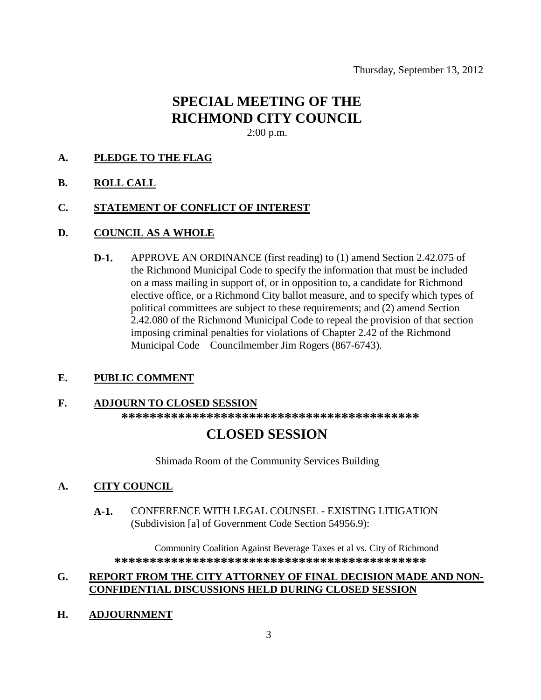## **SPECIAL MEETING OF THE RICHMOND CITY COUNCIL** 2:00 p.m.

#### **A. PLEDGE TO THE FLAG**

**B. ROLL CALL**

#### **C. STATEMENT OF CONFLICT OF INTEREST**

#### **D. COUNCIL AS A WHOLE**

**D-1.** APPROVE AN ORDINANCE (first reading) to (1) amend Section 2.42.075 of the Richmond Municipal Code to specify the information that must be included on a mass mailing in support of, or in opposition to, a candidate for Richmond elective office, or a Richmond City ballot measure, and to specify which types of political committees are subject to these requirements; and (2) amend Section 2.42.080 of the Richmond Municipal Code to repeal the provision of that section imposing criminal penalties for violations of Chapter 2.42 of the Richmond Municipal Code – Councilmember Jim Rogers (867-6743).

## **E. PUBLIC COMMENT**

#### **F. ADJOURN TO CLOSED SESSION**

**\*\*\*\*\*\*\*\*\*\*\*\*\*\*\*\*\*\*\*\*\*\*\*\*\*\*\*\*\*\*\*\*\*\*\*\*\*\*\*\*\*\***

## **CLOSED SESSION**

Shimada Room of the Community Services Building

## **A. CITY COUNCIL**

**A-1.** CONFERENCE WITH LEGAL COUNSEL - EXISTING LITIGATION (Subdivision [a] of Government Code Section 54956.9):

Community Coalition Against Beverage Taxes et al vs. City of Richmond **\*\*\*\*\*\*\*\*\*\*\*\*\*\*\*\*\*\*\*\*\*\*\*\*\*\*\*\*\*\*\*\*\*\*\*\*\*\*\*\*\*\*\*\***

### **G. REPORT FROM THE CITY ATTORNEY OF FINAL DECISION MADE AND NON-CONFIDENTIAL DISCUSSIONS HELD DURING CLOSED SESSION**

**H. ADJOURNMENT**